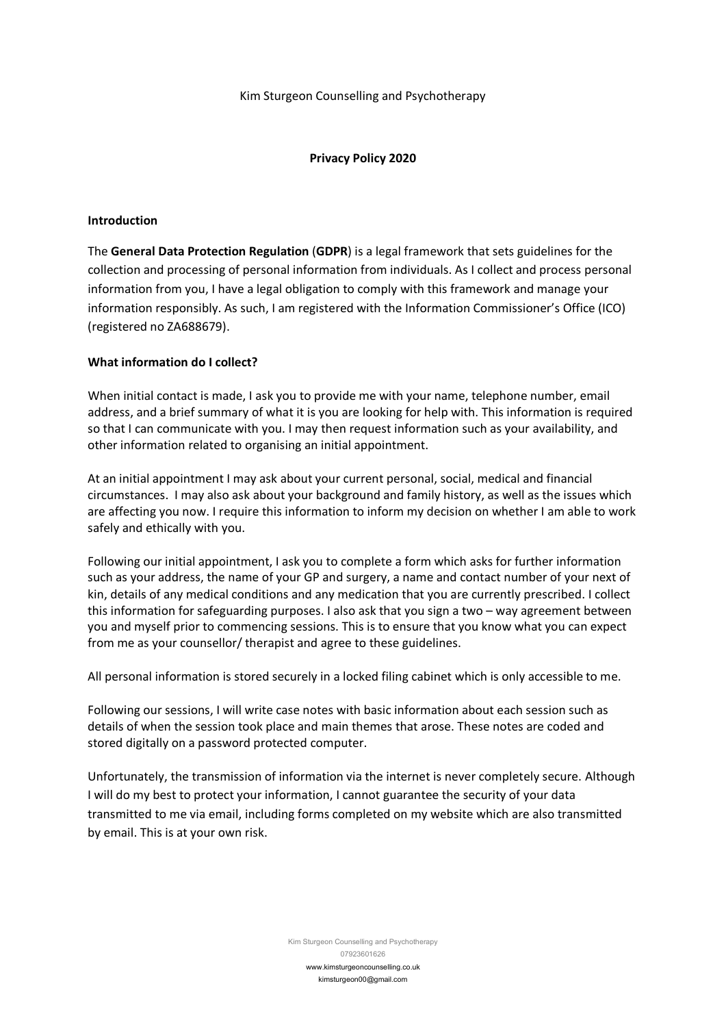# **Privacy Policy 2020**

# **Introduction**

The **General Data Protection Regulation** (**GDPR**) is a legal framework that sets guidelines for the collection and processing of personal information from individuals. As I collect and process personal information from you, I have a legal obligation to comply with this framework and manage your information responsibly. As such, I am registered with the Information Commissioner's Office (ICO) (registered no ZA688679).

# **What information do I collect?**

When initial contact is made, I ask you to provide me with your name, telephone number, email address, and a brief summary of what it is you are looking for help with. This information is required so that I can communicate with you. I may then request information such as your availability, and other information related to organising an initial appointment.

At an initial appointment I may ask about your current personal, social, medical and financial circumstances. I may also ask about your background and family history, as well as the issues which are affecting you now. I require this information to inform my decision on whether I am able to work safely and ethically with you.

Following our initial appointment, I ask you to complete a form which asks for further information such as your address, the name of your GP and surgery, a name and contact number of your next of kin, details of any medical conditions and any medication that you are currently prescribed. I collect this information for safeguarding purposes. I also ask that you sign a two – way agreement between you and myself prior to commencing sessions. This is to ensure that you know what you can expect from me as your counsellor/ therapist and agree to these guidelines.

All personal information is stored securely in a locked filing cabinet which is only accessible to me.

Following our sessions, I will write case notes with basic information about each session such as details of when the session took place and main themes that arose. These notes are coded and stored digitally on a password protected computer.

Unfortunately, the transmission of information via the internet is never completely secure. Although I will do my best to protect your information, I cannot guarantee the security of your data transmitted to me via email, including forms completed on my website which are also transmitted by email. This is at your own risk.

> Kim Sturgeon Counselling and Psychotherapy 07923601626 www.kimsturgeoncounselling.co.uk kimsturgeon00@gmail.com